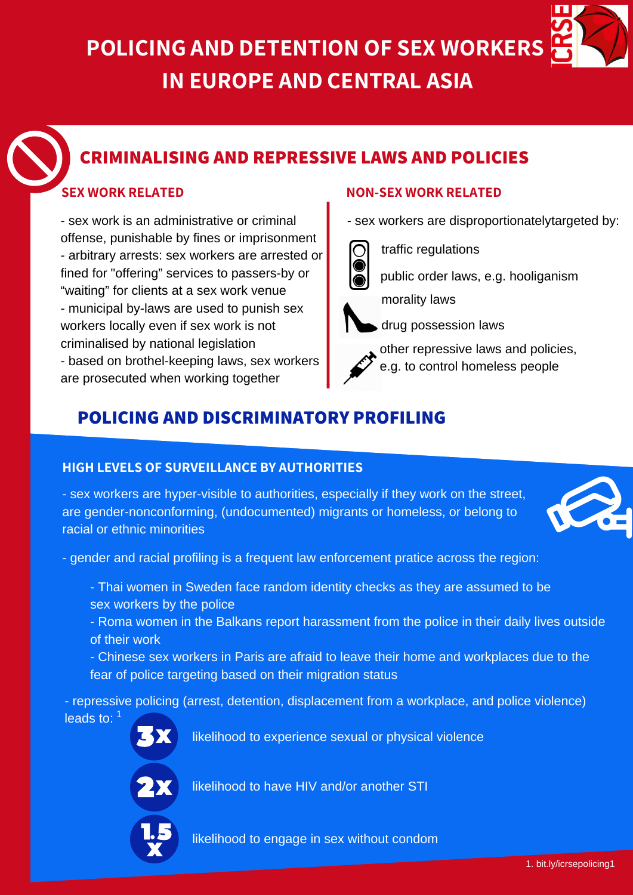**POLICING AND DETENTION OF SEX WORKERS IN EUROPE AND CENTRAL ASIA**

## **CRIMINALISING AND REPRESSIVE LAWS AND POLICIES**

- sex work is an administrative or criminal offense, punishable by fines or imprisonment - arbitrary arrests: sex workers are arrested or fined for "offering" services to passers-by or "waiting" for clients at a sex work venue - municipal by-laws are used to punish sex workers locally even if sex work is not criminalised by national legislation - based on brothel-keeping laws, sex workers are prosecuted when working together

#### **SEX WORK RELATED NON-SEX WORK RELATED**

- sex workers are disproportionatelytargeted by:



traffic regulations

public order laws, e.g. hooliganism



morality laws

drug possession laws

other repressive laws and policies, e.g. to control homeless people

## **POLICING AND DISCRIMINATORY PROFILING**

#### **HIGH LEVELS OF SURVEILLANCE BY AUTHORITIES**

- sex workers are hyper-visible to authorities, especially if they work on the street, are gender-nonconforming, (undocumented) migrants or homeless, or belong to racial or ethnic minorities



- gender and racial profiling is a frequent law enforcement pratice across the region:

- Thai women in Sweden face random identity checks as they are assumed to be sex workers by the police
- Roma women in the Balkans report harassment from the police in their daily lives outside of their work
- Chinese sex workers in Paris are afraid to leave their home and workplaces due to the fear of police targeting based on their migration status

- repressive policing (arrest, detention, displacement from a workplace, and police violence) leads to:  $1$ 

likelihood to experience sexual or physical violence



likelihood to have HIV and/or another STI



likelihood to engage in sex without condom